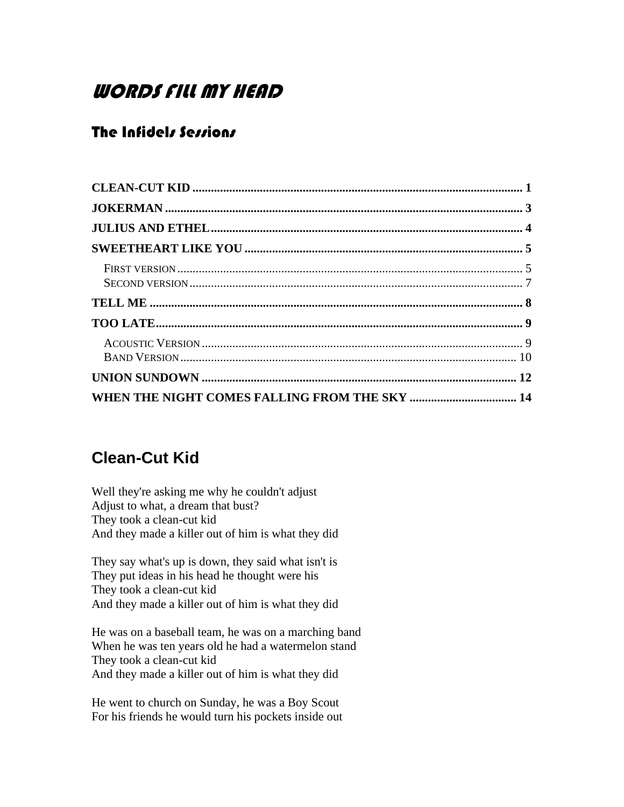# <span id="page-0-1"></span>WORDS FILL MY HEAD

### The Infidels Sessions

# <span id="page-0-0"></span>**Clean-Cut Kid**

Well they're asking me why he couldn't adjust Adjust to what, a dream that bust? They took a clean-cut kid And they made a killer out of him is what they did

They say what's up is down, they said what isn't is They put ideas in his head he thought were his They took a clean-cut kid And they made a killer out of him is what they did

He was on a baseball team, he was on a marching band When he was ten years old he had a watermelon stand They took a clean-cut kid And they made a killer out of him is what they did

He went to church on Sunday, he was a Boy Scout For his friends he would turn his pockets inside out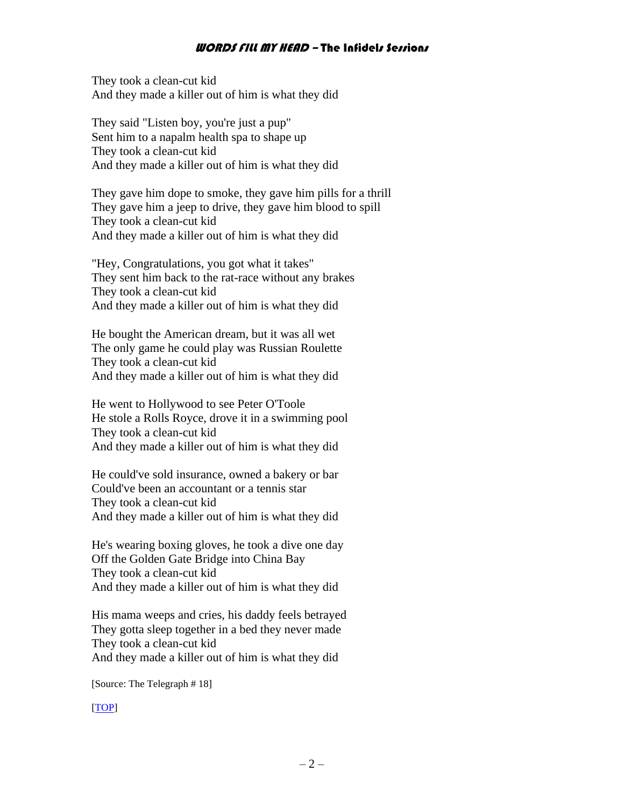They took a clean-cut kid And they made a killer out of him is what they did

They said "Listen boy, you're just a pup" Sent him to a napalm health spa to shape up They took a clean-cut kid And they made a killer out of him is what they did

They gave him dope to smoke, they gave him pills for a thrill They gave him a jeep to drive, they gave him blood to spill They took a clean-cut kid And they made a killer out of him is what they did

"Hey, Congratulations, you got what it takes" They sent him back to the rat-race without any brakes They took a clean-cut kid And they made a killer out of him is what they did

He bought the American dream, but it was all wet The only game he could play was Russian Roulette They took a clean-cut kid And they made a killer out of him is what they did

He went to Hollywood to see Peter O'Toole He stole a Rolls Royce, drove it in a swimming pool They took a clean-cut kid And they made a killer out of him is what they did

He could've sold insurance, owned a bakery or bar Could've been an accountant or a tennis star They took a clean-cut kid And they made a killer out of him is what they did

He's wearing boxing gloves, he took a dive one day Off the Golden Gate Bridge into China Bay They took a clean-cut kid And they made a killer out of him is what they did

His mama weeps and cries, his daddy feels betrayed They gotta sleep together in a bed they never made They took a clean-cut kid And they made a killer out of him is what they did

[Source: The Telegraph # 18]

[\[TOP\]](#page-0-1)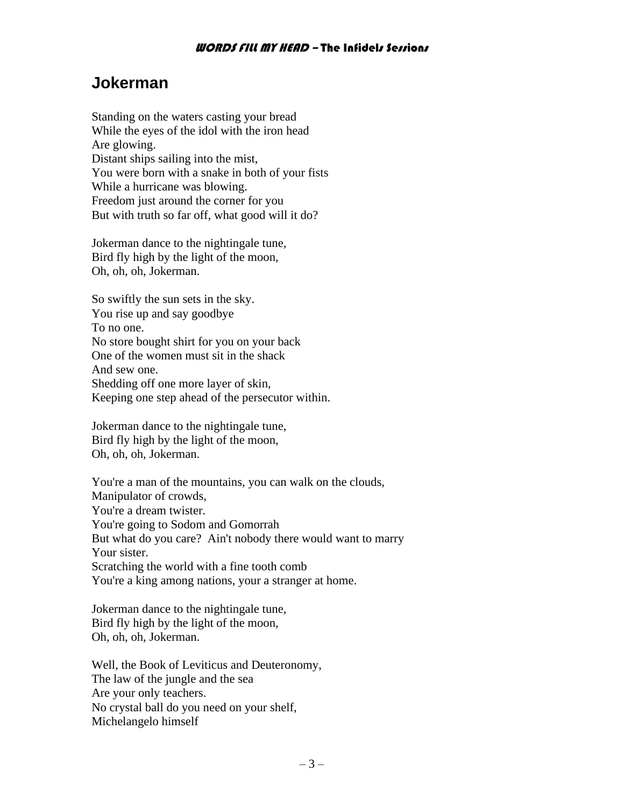### <span id="page-2-0"></span>**Jokerman**

Standing on the waters casting your bread While the eyes of the idol with the iron head Are glowing. Distant ships sailing into the mist, You were born with a snake in both of your fists While a hurricane was blowing. Freedom just around the corner for you But with truth so far off, what good will it do?

Jokerman dance to the nightingale tune, Bird fly high by the light of the moon, Oh, oh, oh, Jokerman.

So swiftly the sun sets in the sky. You rise up and say goodbye To no one. No store bought shirt for you on your back One of the women must sit in the shack And sew one. Shedding off one more layer of skin, Keeping one step ahead of the persecutor within.

Jokerman dance to the nightingale tune, Bird fly high by the light of the moon, Oh, oh, oh, Jokerman.

You're a man of the mountains, you can walk on the clouds, Manipulator of crowds, You're a dream twister. You're going to Sodom and Gomorrah But what do you care? Ain't nobody there would want to marry Your sister. Scratching the world with a fine tooth comb You're a king among nations, your a stranger at home.

Jokerman dance to the nightingale tune, Bird fly high by the light of the moon, Oh, oh, oh, Jokerman.

Well, the Book of Leviticus and Deuteronomy, The law of the jungle and the sea Are your only teachers. No crystal ball do you need on your shelf, Michelangelo himself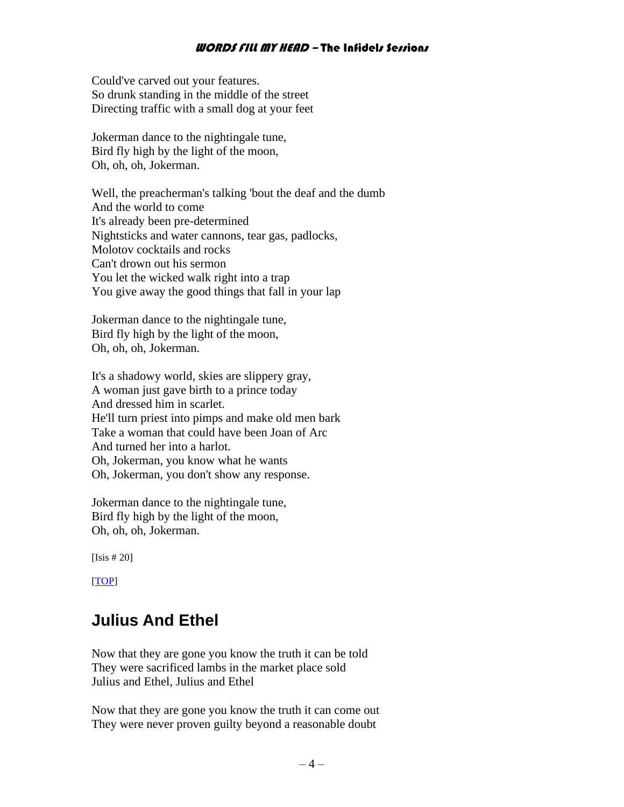Could've carved out your features. So drunk standing in the middle of the street Directing traffic with a small dog at your feet

Jokerman dance to the nightingale tune, Bird fly high by the light of the moon, Oh, oh, oh, Jokerman.

Well, the preacherman's talking 'bout the deaf and the dumb And the world to come It's already been pre-determined Nightsticks and water cannons, tear gas, padlocks, Molotov cocktails and rocks Can't drown out his sermon You let the wicked walk right into a trap You give away the good things that fall in your lap

Jokerman dance to the nightingale tune, Bird fly high by the light of the moon, Oh, oh, oh, Jokerman.

It's a shadowy world, skies are slippery gray, A woman just gave birth to a prince today And dressed him in scarlet. He'll turn priest into pimps and make old men bark Take a woman that could have been Joan of Arc And turned her into a harlot. Oh, Jokerman, you know what he wants Oh, Jokerman, you don't show any response.

Jokerman dance to the nightingale tune, Bird fly high by the light of the moon, Oh, oh, oh, Jokerman.

[Isis # 20]

[\[TOP\]](#page-0-1)

### <span id="page-3-0"></span>**Julius And Ethel**

Now that they are gone you know the truth it can be told They were sacrificed lambs in the market place sold Julius and Ethel, Julius and Ethel

Now that they are gone you know the truth it can come out They were never proven guilty beyond a reasonable doubt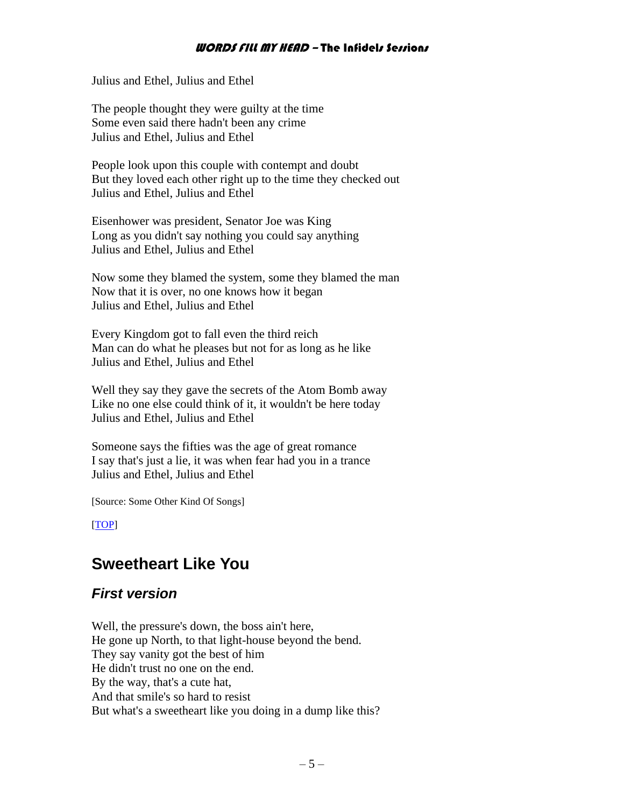Julius and Ethel, Julius and Ethel

The people thought they were guilty at the time Some even said there hadn't been any crime Julius and Ethel, Julius and Ethel

People look upon this couple with contempt and doubt But they loved each other right up to the time they checked out Julius and Ethel, Julius and Ethel

Eisenhower was president, Senator Joe was King Long as you didn't say nothing you could say anything Julius and Ethel, Julius and Ethel

Now some they blamed the system, some they blamed the man Now that it is over, no one knows how it began Julius and Ethel, Julius and Ethel

Every Kingdom got to fall even the third reich Man can do what he pleases but not for as long as he like Julius and Ethel, Julius and Ethel

Well they say they gave the secrets of the Atom Bomb away Like no one else could think of it, it wouldn't be here today Julius and Ethel, Julius and Ethel

Someone says the fifties was the age of great romance I say that's just a lie, it was when fear had you in a trance Julius and Ethel, Julius and Ethel

[Source: Some Other Kind Of Songs]

[\[TOP\]](#page-0-1)

### <span id="page-4-0"></span>**Sweetheart Like You**

### <span id="page-4-1"></span>*First version*

Well, the pressure's down, the boss ain't here, He gone up North, to that light-house beyond the bend. They say vanity got the best of him He didn't trust no one on the end. By the way, that's a cute hat, And that smile's so hard to resist But what's a sweetheart like you doing in a dump like this?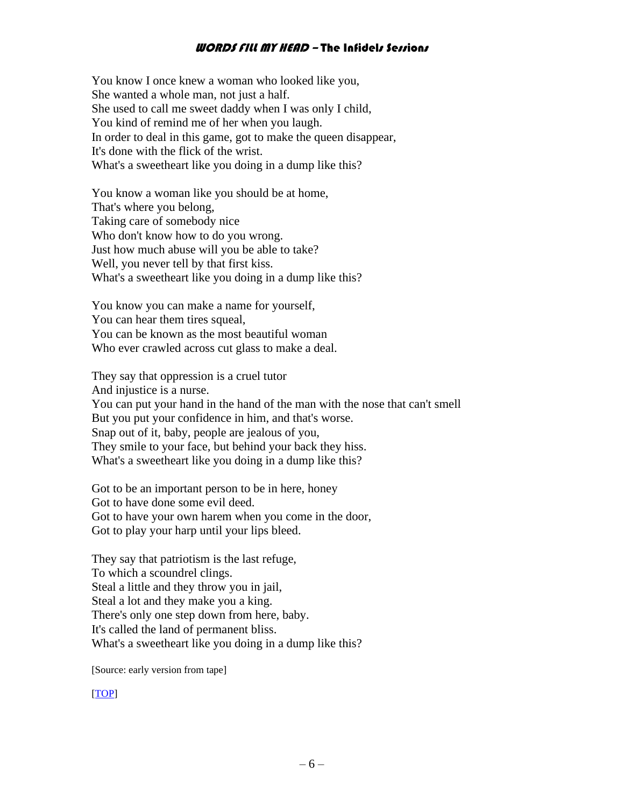You know I once knew a woman who looked like you, She wanted a whole man, not just a half. She used to call me sweet daddy when I was only I child, You kind of remind me of her when you laugh. In order to deal in this game, got to make the queen disappear, It's done with the flick of the wrist. What's a sweetheart like you doing in a dump like this?

You know a woman like you should be at home, That's where you belong, Taking care of somebody nice Who don't know how to do you wrong. Just how much abuse will you be able to take? Well, you never tell by that first kiss. What's a sweetheart like you doing in a dump like this?

You know you can make a name for yourself, You can hear them tires squeal, You can be known as the most beautiful woman Who ever crawled across cut glass to make a deal.

They say that oppression is a cruel tutor And injustice is a nurse. You can put your hand in the hand of the man with the nose that can't smell But you put your confidence in him, and that's worse. Snap out of it, baby, people are jealous of you, They smile to your face, but behind your back they hiss. What's a sweetheart like you doing in a dump like this?

Got to be an important person to be in here, honey Got to have done some evil deed. Got to have your own harem when you come in the door, Got to play your harp until your lips bleed.

They say that patriotism is the last refuge, To which a scoundrel clings. Steal a little and they throw you in jail, Steal a lot and they make you a king. There's only one step down from here, baby. It's called the land of permanent bliss. What's a sweetheart like you doing in a dump like this?

[Source: early version from tape]

[\[TOP\]](#page-0-1)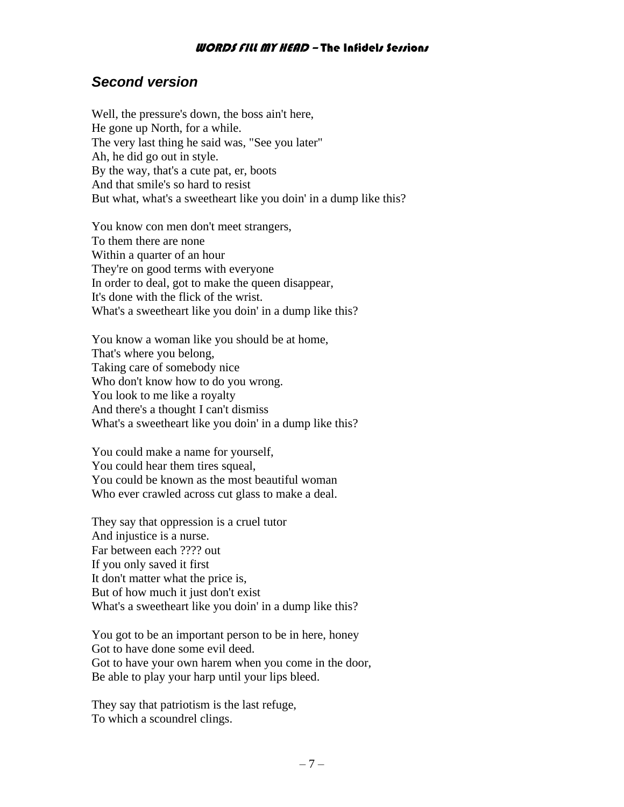### <span id="page-6-0"></span>*Second version*

Well, the pressure's down, the boss ain't here, He gone up North, for a while. The very last thing he said was, "See you later" Ah, he did go out in style. By the way, that's a cute pat, er, boots And that smile's so hard to resist But what, what's a sweetheart like you doin' in a dump like this?

You know con men don't meet strangers, To them there are none Within a quarter of an hour They're on good terms with everyone In order to deal, got to make the queen disappear, It's done with the flick of the wrist. What's a sweetheart like you doin' in a dump like this?

You know a woman like you should be at home, That's where you belong, Taking care of somebody nice Who don't know how to do you wrong. You look to me like a royalty And there's a thought I can't dismiss What's a sweetheart like you doin' in a dump like this?

You could make a name for yourself, You could hear them tires squeal. You could be known as the most beautiful woman Who ever crawled across cut glass to make a deal.

They say that oppression is a cruel tutor And injustice is a nurse. Far between each ???? out If you only saved it first It don't matter what the price is, But of how much it just don't exist What's a sweetheart like you doin' in a dump like this?

You got to be an important person to be in here, honey Got to have done some evil deed. Got to have your own harem when you come in the door, Be able to play your harp until your lips bleed.

They say that patriotism is the last refuge, To which a scoundrel clings.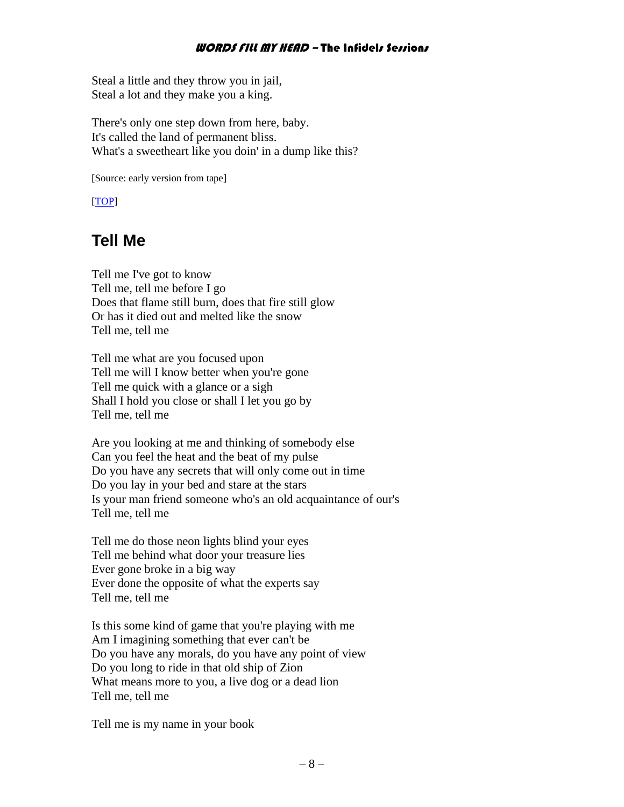Steal a little and they throw you in jail, Steal a lot and they make you a king.

There's only one step down from here, baby. It's called the land of permanent bliss. What's a sweetheart like you doin' in a dump like this?

[Source: early version from tape]

[\[TOP\]](#page-0-1)

# <span id="page-7-0"></span>**Tell Me**

Tell me I've got to know Tell me, tell me before I go Does that flame still burn, does that fire still glow Or has it died out and melted like the snow Tell me, tell me

Tell me what are you focused upon Tell me will I know better when you're gone Tell me quick with a glance or a sigh Shall I hold you close or shall I let you go by Tell me, tell me

Are you looking at me and thinking of somebody else Can you feel the heat and the beat of my pulse Do you have any secrets that will only come out in time Do you lay in your bed and stare at the stars Is your man friend someone who's an old acquaintance of our's Tell me, tell me

Tell me do those neon lights blind your eyes Tell me behind what door your treasure lies Ever gone broke in a big way Ever done the opposite of what the experts say Tell me, tell me

Is this some kind of game that you're playing with me Am I imagining something that ever can't be Do you have any morals, do you have any point of view Do you long to ride in that old ship of Zion What means more to you, a live dog or a dead lion Tell me, tell me

Tell me is my name in your book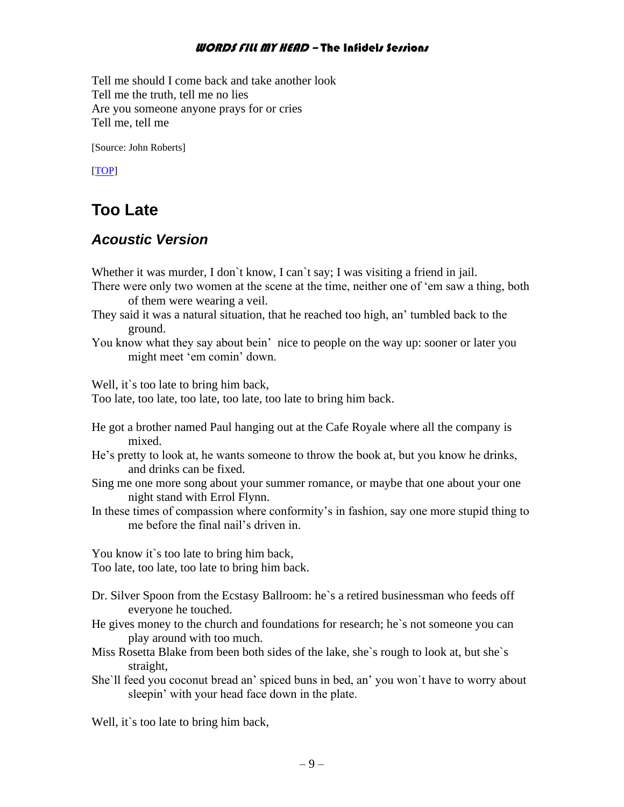Tell me should I come back and take another look Tell me the truth, tell me no lies Are you someone anyone prays for or cries Tell me, tell me

[Source: John Roberts]

[\[TOP\]](#page-0-1)

### <span id="page-8-0"></span>**Too Late**

### <span id="page-8-1"></span>*Acoustic Version*

Whether it was murder, I don't know, I can't say; I was visiting a friend in jail.

- There were only two women at the scene at the time, neither one of 'em saw a thing, both of them were wearing a veil.
- They said it was a natural situation, that he reached too high, an' tumbled back to the ground.
- You know what they say about bein' nice to people on the way up: sooner or later you might meet 'em comin' down.

Well, it's too late to bring him back,

Too late, too late, too late, too late, too late to bring him back.

- He got a brother named Paul hanging out at the Cafe Royale where all the company is mixed.
- He's pretty to look at, he wants someone to throw the book at, but you know he drinks, and drinks can be fixed.
- Sing me one more song about your summer romance, or maybe that one about your one night stand with Errol Flynn.
- In these times of compassion where conformity's in fashion, say one more stupid thing to me before the final nail's driven in.

You know it's too late to bring him back, Too late, too late, too late to bring him back.

- Dr. Silver Spoon from the Ecstasy Ballroom: he`s a retired businessman who feeds off everyone he touched.
- He gives money to the church and foundations for research; he`s not someone you can play around with too much.
- Miss Rosetta Blake from been both sides of the lake, she`s rough to look at, but she`s straight,
- She`ll feed you coconut bread an' spiced buns in bed, an' you won`t have to worry about sleepin' with your head face down in the plate.

Well, it's too late to bring him back,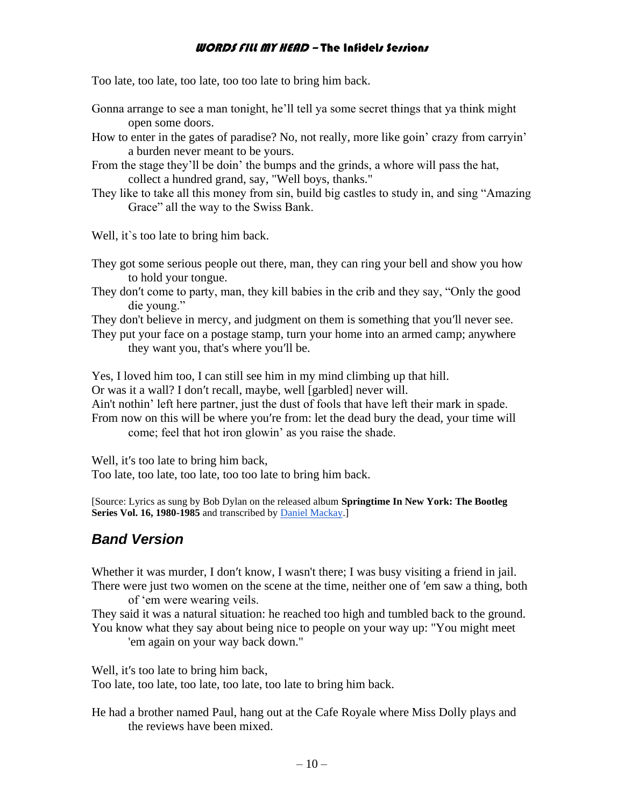Too late, too late, too late, too too late to bring him back.

- Gonna arrange to see a man tonight, he'll tell ya some secret things that ya think might open some doors.
- How to enter in the gates of paradise? No, not really, more like goin' crazy from carryin' a burden never meant to be yours.
- From the stage they'll be doin' the bumps and the grinds, a whore will pass the hat, collect a hundred grand, say, "Well boys, thanks."
- They like to take all this money from sin, build big castles to study in, and sing "Amazing Grace" all the way to the Swiss Bank.

Well, it's too late to bring him back.

- They got some serious people out there, man, they can ring your bell and show you how to hold your tongue.
- They don′t come to party, man, they kill babies in the crib and they say, "Only the good die young."
- They don't believe in mercy, and judgment on them is something that you′ll never see.
- They put your face on a postage stamp, turn your home into an armed camp; anywhere they want you, that's where you′ll be.

Yes, I loved him too, I can still see him in my mind climbing up that hill.

Or was it a wall? I don′t recall, maybe, well [garbled] never will.

Ain't nothin' left here partner, just the dust of fools that have left their mark in spade.

From now on this will be where you′re from: let the dead bury the dead, your time will come; feel that hot iron glowin' as you raise the shade.

Well, it′s too late to bring him back,

Too late, too late, too late, too too late to bring him back.

[Source: Lyrics as sung by Bob Dylan on the released album **Springtime In New York: The Bootleg**  Series Vol. 16, 1980-1985 and transcribed by **Daniel Mackay**.]

### <span id="page-9-0"></span>*Band Version*

Whether it was murder, I don't know, I wasn't there; I was busy visiting a friend in jail.

There were just two women on the scene at the time, neither one of 'em saw a thing, both of 'em were wearing veils.

They said it was a natural situation: he reached too high and tumbled back to the ground. You know what they say about being nice to people on your way up: "You might meet

'em again on your way back down."

Well, it's too late to bring him back,

Too late, too late, too late, too late, too late to bring him back.

He had a brother named Paul, hang out at the Cafe Royale where Miss Dolly plays and the reviews have been mixed.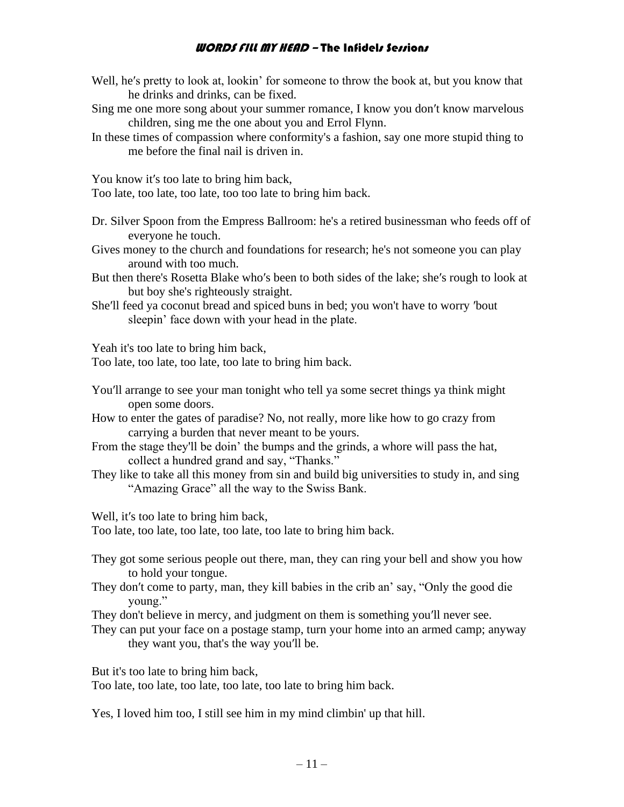- Well, he's pretty to look at, lookin' for someone to throw the book at, but you know that he drinks and drinks, can be fixed.
- Sing me one more song about your summer romance, I know you don′t know marvelous children, sing me the one about you and Errol Flynn.
- In these times of compassion where conformity's a fashion, say one more stupid thing to me before the final nail is driven in.

You know it′s too late to bring him back,

Too late, too late, too late, too too late to bring him back.

- Dr. Silver Spoon from the Empress Ballroom: he's a retired businessman who feeds off of everyone he touch.
- Gives money to the church and foundations for research; he's not someone you can play around with too much.
- But then there's Rosetta Blake who′s been to both sides of the lake; she′s rough to look at but boy she's righteously straight.
- She′ll feed ya coconut bread and spiced buns in bed; you won't have to worry ′bout sleepin' face down with your head in the plate.

Yeah it's too late to bring him back,

Too late, too late, too late, too late to bring him back.

- You′ll arrange to see your man tonight who tell ya some secret things ya think might open some doors.
- How to enter the gates of paradise? No, not really, more like how to go crazy from carrying a burden that never meant to be yours.
- From the stage they'll be doin' the bumps and the grinds, a whore will pass the hat, collect a hundred grand and say, "Thanks."
- They like to take all this money from sin and build big universities to study in, and sing "Amazing Grace" all the way to the Swiss Bank.

Well, it's too late to bring him back,

Too late, too late, too late, too late, too late to bring him back.

They got some serious people out there, man, they can ring your bell and show you how to hold your tongue.

- They don′t come to party, man, they kill babies in the crib an' say, "Only the good die young."
- They don't believe in mercy, and judgment on them is something you′ll never see.
- They can put your face on a postage stamp, turn your home into an armed camp; anyway they want you, that's the way you′ll be.

But it's too late to bring him back,

Too late, too late, too late, too late, too late to bring him back.

Yes, I loved him too, I still see him in my mind climbin' up that hill.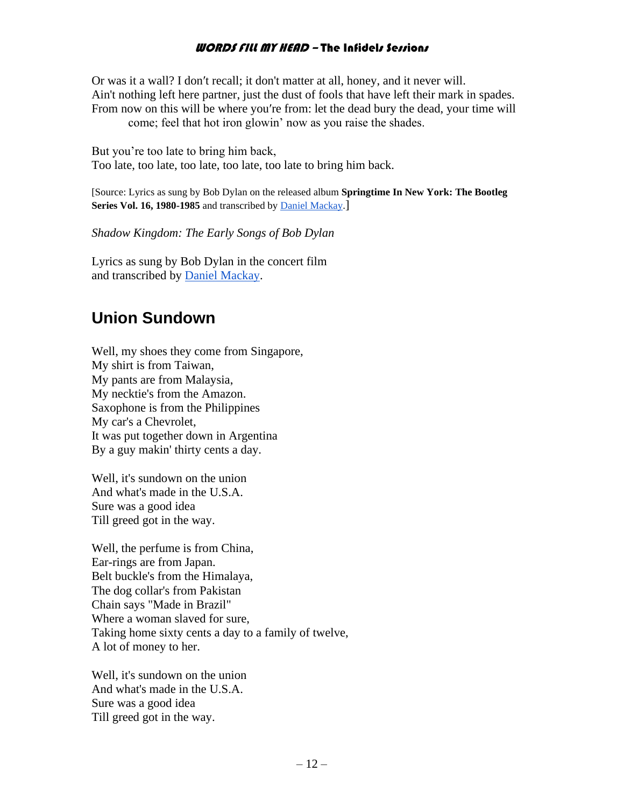Or was it a wall? I don′t recall; it don't matter at all, honey, and it never will. Ain't nothing left here partner, just the dust of fools that have left their mark in spades. From now on this will be where you're from: let the dead bury the dead, your time will come; feel that hot iron glowin' now as you raise the shades.

But you're too late to bring him back, Too late, too late, too late, too late, too late to bring him back.

[Source: Lyrics as sung by Bob Dylan on the released album **Springtime In New York: The Bootleg**  Series Vol. 16, 1980-1985 and transcribed by **Daniel Mackay.**]

*Shadow Kingdom: The Early Songs of Bob Dylan*

Lyrics as sung by Bob Dylan in the concert film and transcribed by [Daniel Mackay.](http://www.bjorner.com/Dan.htm)

# <span id="page-11-0"></span>**Union Sundown**

Well, my shoes they come from Singapore, My shirt is from Taiwan, My pants are from Malaysia, My necktie's from the Amazon. Saxophone is from the Philippines My car's a Chevrolet, It was put together down in Argentina By a guy makin' thirty cents a day.

Well, it's sundown on the union And what's made in the U.S.A. Sure was a good idea Till greed got in the way.

Well, the perfume is from China, Ear-rings are from Japan. Belt buckle's from the Himalaya, The dog collar's from Pakistan Chain says "Made in Brazil" Where a woman slaved for sure, Taking home sixty cents a day to a family of twelve, A lot of money to her.

Well, it's sundown on the union And what's made in the U.S.A. Sure was a good idea Till greed got in the way.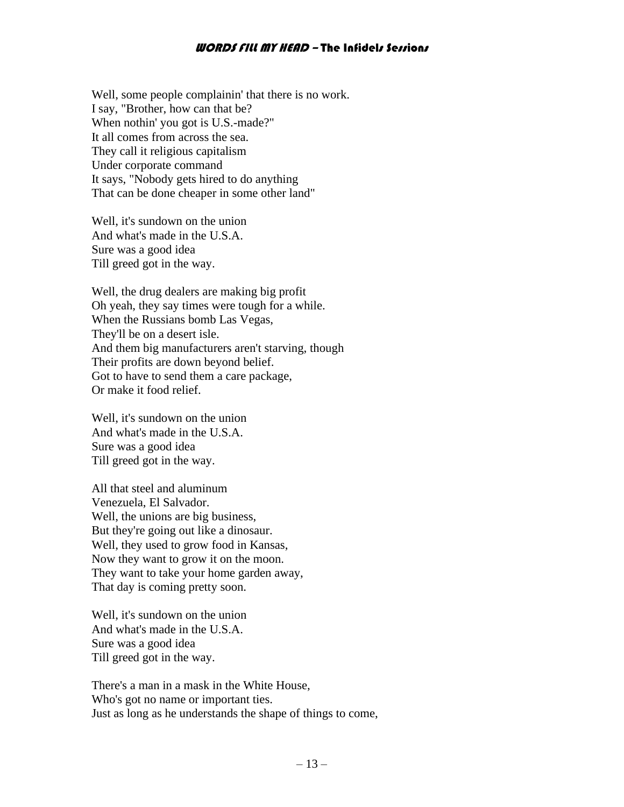Well, some people complainin' that there is no work. I say, "Brother, how can that be? When nothin' you got is U.S.-made?" It all comes from across the sea. They call it religious capitalism Under corporate command It says, "Nobody gets hired to do anything That can be done cheaper in some other land"

Well, it's sundown on the union And what's made in the U.S.A. Sure was a good idea Till greed got in the way.

Well, the drug dealers are making big profit Oh yeah, they say times were tough for a while. When the Russians bomb Las Vegas, They'll be on a desert isle. And them big manufacturers aren't starving, though Their profits are down beyond belief. Got to have to send them a care package, Or make it food relief.

Well, it's sundown on the union And what's made in the U.S.A. Sure was a good idea Till greed got in the way.

All that steel and aluminum Venezuela, El Salvador. Well, the unions are big business, But they're going out like a dinosaur. Well, they used to grow food in Kansas, Now they want to grow it on the moon. They want to take your home garden away, That day is coming pretty soon.

Well, it's sundown on the union And what's made in the U.S.A. Sure was a good idea Till greed got in the way.

There's a man in a mask in the White House, Who's got no name or important ties. Just as long as he understands the shape of things to come,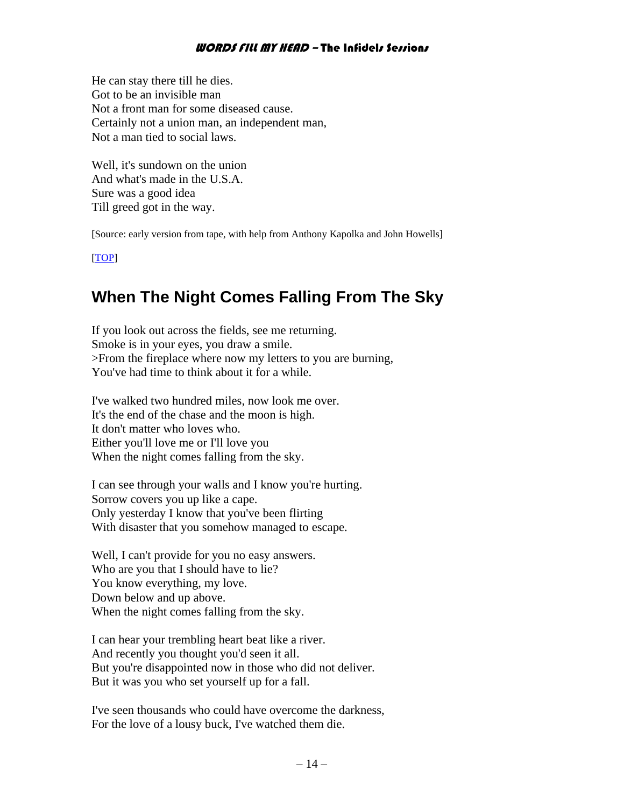He can stay there till he dies. Got to be an invisible man Not a front man for some diseased cause. Certainly not a union man, an independent man, Not a man tied to social laws.

Well, it's sundown on the union And what's made in the U.S.A. Sure was a good idea Till greed got in the way.

[Source: early version from tape, with help from Anthony Kapolka and John Howells]

[\[TOP\]](#page-0-1)

# <span id="page-13-0"></span>**When The Night Comes Falling From The Sky**

If you look out across the fields, see me returning. Smoke is in your eyes, you draw a smile. >From the fireplace where now my letters to you are burning, You've had time to think about it for a while.

I've walked two hundred miles, now look me over. It's the end of the chase and the moon is high. It don't matter who loves who. Either you'll love me or I'll love you When the night comes falling from the sky.

I can see through your walls and I know you're hurting. Sorrow covers you up like a cape. Only yesterday I know that you've been flirting With disaster that you somehow managed to escape.

Well, I can't provide for you no easy answers. Who are you that I should have to lie? You know everything, my love. Down below and up above. When the night comes falling from the sky.

I can hear your trembling heart beat like a river. And recently you thought you'd seen it all. But you're disappointed now in those who did not deliver. But it was you who set yourself up for a fall.

I've seen thousands who could have overcome the darkness, For the love of a lousy buck, I've watched them die.